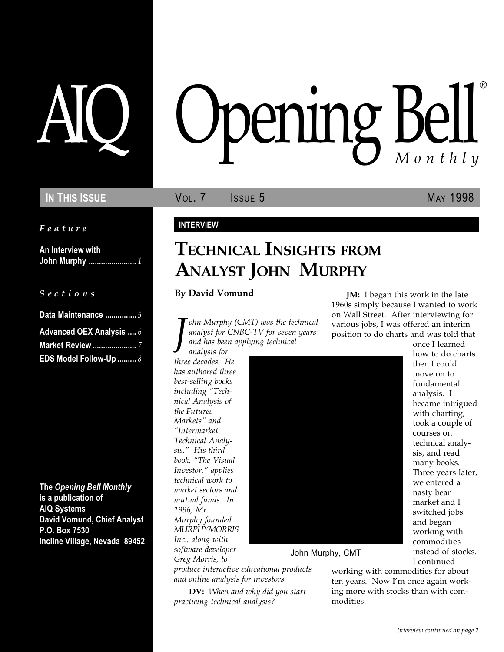Feature

An Interview with John Murphy ....................... 1

S e c t i o n s

| Data Maintenance 5       |
|--------------------------|
| Advanced OEX Analysis  6 |
| <b>Market Review </b> 7  |
| EDS Model Follow-Up  8   |

The Opening Bell Monthly is a publication of AIQ Systems David Vomund, Chief Analyst P.O. Box 7530 Incline Village, Nevada 89452

# AIQ Opening Bell ®

IN THIS ISSUE **VOL. 7** ISSUE 5 MAY 1998

### INTERVIEW

## TECHNICAL INSIGHTS FROM ANALYST JOHN MURPHY

#### By David Vomund

J ohn Murphy (CMT) was the technical analyst for CNBC-TV for seven years and has been applying technical

analysis for three decades. He has authored three best-selling books including "Technical Analysis of the Futures Markets" and Intermarket Technical Analysis." His third book, "The Visual Investor," applies technical work to market sectors and mutual funds. In 1996, Mr. Murphy founded MURPHYMORRIS Inc., along with software developer Greg Morris, to



John Murphy, CMT

produce interactive educational products and online analysis for investors.

DV: When and why did you start practicing technical analysis?

working with commodities for about ten years. Now I'm once again working more with stocks than with commodities.

JM: I began this work in the late 1960s simply because I wanted to work on Wall Street. After interviewing for various jobs, I was offered an interim position to do charts and was told that

once I learned how to do charts then I could move on to fundamental analysis. I became intrigued with charting, took a couple of courses on technical analysis, and read many books. Three years later, we entered a nasty bear market and I switched jobs and began working with commodities instead of stocks. I continued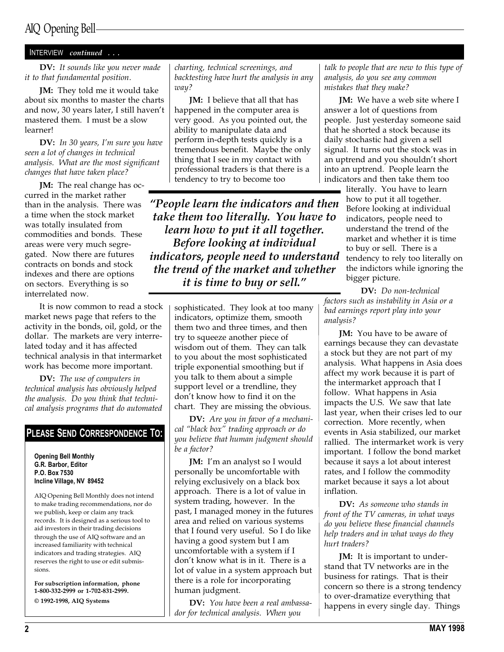## AIQ Opening Bell

#### INTERVIEW continued . . .

DV: It sounds like you never made it to that fundamental position.

**JM:** They told me it would take about six months to master the charts and now, 30 years later, I still haven't mastered them. I must be a slow learner!

DV: In 30 years, I'm sure you have seen a lot of changes in technical analysis. What are the most significant changes that have taken place?

JM: The real change has occurred in the market rather than in the analysis. There was a time when the stock market was totally insulated from commodities and bonds. These areas were very much segregated. Now there are futures contracts on bonds and stock indexes and there are options on sectors. Everything is so interrelated now.

It is now common to read a stock market news page that refers to the activity in the bonds, oil, gold, or the dollar. The markets are very interrelated today and it has affected technical analysis in that intermarket work has become more important.

DV: The use of computers in technical analysis has obviously helped the analysis. Do you think that technical analysis programs that do automated

#### PLEASE SEND CORRESPONDENCE TO:

Opening Bell Monthly G.R. Barbor, Editor P.O. Box 7530 Incline Village, NV 89452

AIQ Opening Bell Monthly does not intend to make trading recommendations, nor do we publish, keep or claim any track records. It is designed as a serious tool to aid investors in their trading decisions through the use of AIQ software and an increased familiarity with technical indicators and trading strategies. AIQ reserves the right to use or edit submissions.

For subscription information, phone 1-800-332-2999 or 1-702-831-2999. © 1992-1998, AIQ Systems

charting, technical screenings, and backtesting have hurt the analysis in any way?

**JM:** I believe that all that has happened in the computer area is very good. As you pointed out, the ability to manipulate data and perform in-depth tests quickly is a tremendous benefit. Maybe the only thing that I see in my contact with professional traders is that there is a tendency to try to become too

People learn the indicators and then take them too literally. You have to learn how to put it all together. Before looking at individual indicators, people need to understand the trend of the market and whether it is time to buy or sell."

> sophisticated. They look at too many indicators, optimize them, smooth them two and three times, and then try to squeeze another piece of wisdom out of them. They can talk to you about the most sophisticated triple exponential smoothing but if you talk to them about a simple support level or a trendline, they don't know how to find it on the chart. They are missing the obvious.

DV: Are you in favor of a mechanical "black box" trading approach or do you believe that human judgment should be a factor?

JM: I'm an analyst so I would personally be uncomfortable with relying exclusively on a black box approach. There is a lot of value in system trading, however. In the past, I managed money in the futures area and relied on various systems that I found very useful. So I do like having a good system but I am uncomfortable with a system if I don't know what is in it. There is a lot of value in a system approach but there is a role for incorporating human judgment.

DV: You have been a real ambassador for technical analysis. When you

talk to people that are new to this type of analysis, do you see any common mistakes that they make?

**JM:** We have a web site where I answer a lot of questions from people. Just yesterday someone said that he shorted a stock because its daily stochastic had given a sell signal. It turns out the stock was in an uptrend and you shouldn't short into an uptrend. People learn the indicators and then take them too

> literally. You have to learn how to put it all together. Before looking at individual indicators, people need to understand the trend of the market and whether it is time to buy or sell. There is a tendency to rely too literally on the indictors while ignoring the bigger picture.

DV: Do non-technical factors such as instability in Asia or a bad earnings report play into your analysis?

**JM:** You have to be aware of earnings because they can devastate a stock but they are not part of my analysis. What happens in Asia does affect my work because it is part of the intermarket approach that I follow. What happens in Asia impacts the U.S. We saw that late last year, when their crises led to our correction. More recently, when events in Asia stabilized, our market rallied. The intermarket work is very important. I follow the bond market because it says a lot about interest rates, and I follow the commodity market because it says a lot about inflation.

DV: As someone who stands in front of the TV cameras, in what ways do you believe these financial channels help traders and in what ways do they hurt traders?

**JM:** It is important to understand that TV networks are in the business for ratings. That is their concern so there is a strong tendency to over-dramatize everything that happens in every single day. Things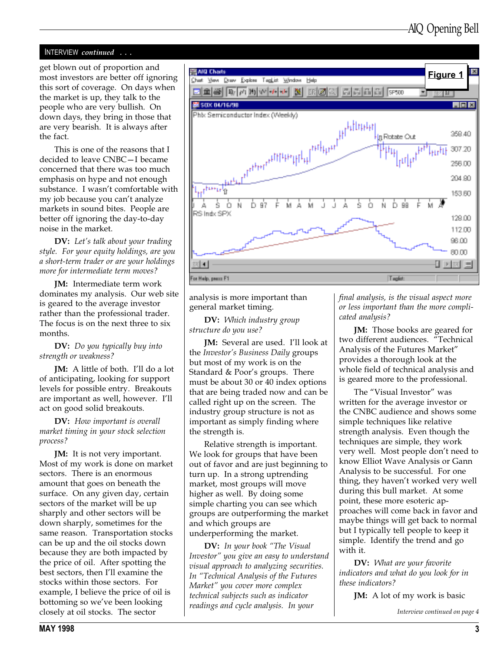#### INTERVIEW continued . . .

get blown out of proportion and most investors are better off ignoring this sort of coverage. On days when the market is up, they talk to the people who are very bullish. On down days, they bring in those that are very bearish. It is always after the fact.

This is one of the reasons that I decided to leave CNBC-I became concerned that there was too much emphasis on hype and not enough substance. I wasn't comfortable with my job because you can't analyze markets in sound bites. People are better off ignoring the day-to-day noise in the market.

DV: Let's talk about your trading style. For your equity holdings, are you a short-term trader or are your holdings more for intermediate term moves?

JM: Intermediate term work dominates my analysis. Our web site is geared to the average investor rather than the professional trader. The focus is on the next three to six months.

DV: Do you typically buy into strength or weakness?

**JM:** A little of both. I'll do a lot of anticipating, looking for support levels for possible entry. Breakouts are important as well, however. I'll act on good solid breakouts.

DV: How important is overall market timing in your stock selection process?

**JM:** It is not very important. Most of my work is done on market sectors. There is an enormous amount that goes on beneath the surface. On any given day, certain sectors of the market will be up sharply and other sectors will be down sharply, sometimes for the same reason. Transportation stocks can be up and the oil stocks down because they are both impacted by the price of oil. After spotting the best sectors, then I'll examine the stocks within those sectors. For example, I believe the price of oil is bottoming so we've been looking closely at oil stocks. The sector



analysis is more important than general market timing.

DV: Which industry group structure do you use?

**JM:** Several are used. I'll look at the Investor's Business Daily groups but most of my work is on the Standard & Poor's groups. There must be about 30 or 40 index options that are being traded now and can be called right up on the screen. The industry group structure is not as important as simply finding where the strength is.

Relative strength is important. We look for groups that have been out of favor and are just beginning to turn up. In a strong uptrending market, most groups will move higher as well. By doing some simple charting you can see which groups are outperforming the market and which groups are underperforming the market.

DV: In your book "The Visual Investor" you give an easy to understand visual approach to analyzing securities. In "Technical Analysis of the Futures Market" you cover more complex technical subjects such as indicator readings and cycle analysis. In your

final analysis, is the visual aspect more or less important than the more complicated analysis?

JM: Those books are geared for two different audiences. "Technical Analysis of the Futures Market provides a thorough look at the whole field of technical analysis and is geared more to the professional.

The "Visual Investor" was written for the average investor or the CNBC audience and shows some simple techniques like relative strength analysis. Even though the techniques are simple, they work very well. Most people don't need to know Elliot Wave Analysis or Gann Analysis to be successful. For one thing, they haven't worked very well during this bull market. At some point, these more esoteric approaches will come back in favor and maybe things will get back to normal but I typically tell people to keep it simple. Identify the trend and go with it.

DV: What are your favorite indicators and what do you look for in these indicators?

**JM:** A lot of my work is basic

Interview continued on page 4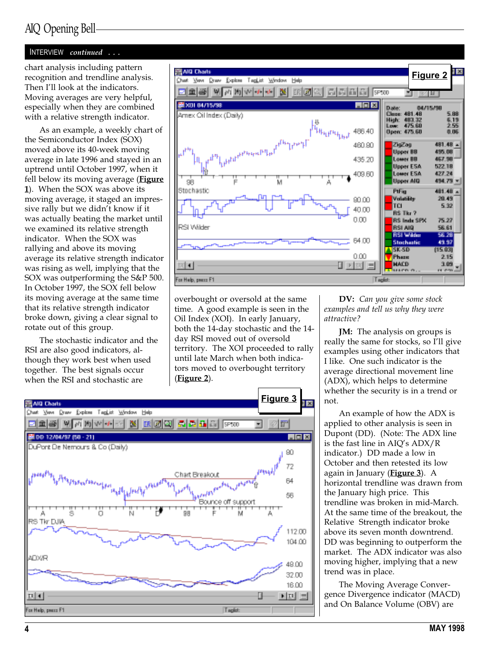## AIQ Opening Bell

#### INTERVIEW continued . . .

chart analysis including pattern recognition and trendline analysis. Then I'll look at the indicators. Moving averages are very helpful, especially when they are combined with a relative strength indicator.

As an example, a weekly chart of the Semiconductor Index (SOX) moved above its 40-week moving average in late 1996 and stayed in an uptrend until October 1997, when it fell below its moving average (**Figure** 1). When the SOX was above its moving average, it staged an impressive rally but we didn't know if it was actually beating the market until we examined its relative strength indicator. When the SOX was rallying and above its moving average its relative strength indicator was rising as well, implying that the SOX was outperforming the S&P 500. In October 1997, the SOX fell below its moving average at the same time that its relative strength indicator broke down, giving a clear signal to rotate out of this group.

The stochastic indicator and the RSI are also good indicators, although they work best when used together. The best signals occur when the RSI and stochastic are



overbought or oversold at the same time. A good example is seen in the Oil Index (XOI). In early January, both the 14-day stochastic and the 14 day RSI moved out of oversold territory. The XOI proceeded to rally until late March when both indicators moved to overbought territory (Figure 2).



DV: Can you give some stock examples and tell us why they were attractive?

**JM:** The analysis on groups is really the same for stocks, so I'll give examples using other indicators that I like. One such indicator is the average directional movement line (ADX), which helps to determine whether the security is in a trend or not.

An example of how the ADX is applied to other analysis is seen in Dupont (DD). (Note: The ADX line is the fast line in  $AIO's ADX/R$ indicator.) DD made a low in October and then retested its low again in January (Figure 3). A horizontal trendline was drawn from the January high price. This trendline was broken in mid-March. At the same time of the breakout, the Relative Strength indicator broke above its seven month downtrend. DD was beginning to outperform the market. The ADX indicator was also moving higher, implying that a new trend was in place.

The Moving Average Convergence Divergence indicator (MACD) and On Balance Volume (OBV) are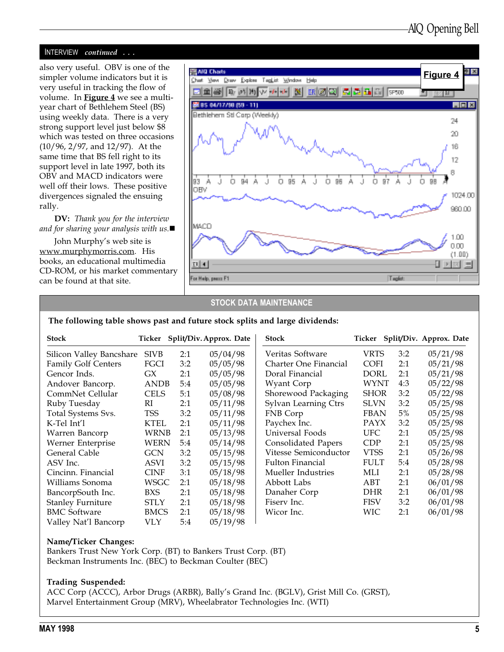#### INTERVIEW continued . . .

also very useful. OBV is one of the simpler volume indicators but it is very useful in tracking the flow of volume. In **Figure 4** we see a multiyear chart of Bethlehem Steel (BS) using weekly data. There is a very strong support level just below \$8 which was tested on three occasions (10/96, 2/97, and 12/97). At the same time that BS fell right to its support level in late 1997, both its OBV and MACD indicators were well off their lows. These positive divergences signaled the ensuing rally.

DV: Thank you for the interview and for sharing your analysis with us. $\blacksquare$ 

John Murphy's web site is www.murphymorris.com. His books, an educational multimedia CD-ROM, or his market commentary can be found at that site.



#### STOCK DATA MAINTENANCE

#### The following table shows past and future stock splits and large dividends:

| <b>Stock</b>               | Ticker      |     | Split/Div. Approx. Date | <b>Stock</b>               |             |       | Ticker Split/Div. Approx. Date |
|----------------------------|-------------|-----|-------------------------|----------------------------|-------------|-------|--------------------------------|
| Silicon Valley Bancshare   | <b>SIVB</b> | 2:1 | 05/04/98                | Veritas Software           | VRTS        | 3:2   | 05/21/98                       |
| <b>Family Golf Centers</b> | FGCI        | 3:2 | 05/05/98                | Charter One Financial      | <b>COFI</b> | 2:1   | 05/21/98                       |
| Gencor Inds.               | GХ          | 2:1 | 05/05/98                | Doral Financial            | DORL        | 2:1   | 05/21/98                       |
| Andover Bancorp.           | <b>ANDB</b> | 5:4 | 05/05/98                | Wyant Corp                 | WYNT        | 4:3   | 05/22/98                       |
| CommNet Cellular           | <b>CELS</b> | 5:1 | 05/08/98                | Shorewood Packaging        | <b>SHOR</b> | 3:2   | 05/22/98                       |
| Ruby Tuesday               | RI          | 2:1 | 05/11/98                | Sylvan Learning Ctrs       | <b>SLVN</b> | 3:2   | 05/25/98                       |
| Total Systems Svs.         | TSS         | 3:2 | 05/11/98                | FNB Corp                   | <b>FBAN</b> | $5\%$ | 05/25/98                       |
| K-Tel Int'l                | KTEL        | 2:1 | 05/11/98                | Paychex Inc.               | PAYX        | 3:2   | 05/25/98                       |
| Warren Bancorp             | WRNB        | 2:1 | 05/13/98                | Universal Foods            | UFC.        | 2:1   | 05/25/98                       |
| Werner Enterprise          | WERN        | 5:4 | 05/14/98                | <b>Consolidated Papers</b> | <b>CDP</b>  | 2:1   | 05/25/98                       |
| General Cable              | GCN         | 3:2 | 05/15/98                | Vitesse Semiconductor      | <b>VTSS</b> | 2:1   | 05/26/98                       |
| ASV Inc.                   | ASVI        | 3:2 | 05/15/98                | <b>Fulton Financial</b>    | <b>FULT</b> | 5:4   | 05/28/98                       |
| Cincinn. Financial         | <b>CINF</b> | 3:1 | 05/18/98                | Mueller Industries         | MLI         | 2:1   | 05/28/98                       |
| Williams Sonoma            | WSGC        | 2:1 | 05/18/98                | Abbott Labs                | ABT         | 2:1   | 06/01/98                       |
| BancorpSouth Inc.          | BXS         | 2:1 | 05/18/98                | Danaher Corp               | DHR         | 2:1   | 06/01/98                       |
| <b>Stanley Furniture</b>   | STLY        | 2:1 | 05/18/98                | Fiserv Inc.                | <b>FISV</b> | 3:2   | 06/01/98                       |
| <b>BMC Software</b>        | <b>BMCS</b> | 2:1 | 05/18/98                | Wicor Inc.                 | WIC         | 2:1   | 06/01/98                       |
| Valley Nat'l Bancorp       | VLY.        | 5:4 | 05/19/98                |                            |             |       |                                |

#### Name/Ticker Changes:

Bankers Trust New York Corp. (BT) to Bankers Trust Corp. (BT) Beckman Instruments Inc. (BEC) to Beckman Coulter (BEC)

#### Trading Suspended:

ACC Corp (ACCC), Arbor Drugs (ARBR), Bally's Grand Inc. (BGLV), Grist Mill Co. (GRST), Marvel Entertainment Group (MRV), Wheelabrator Technologies Inc. (WTI)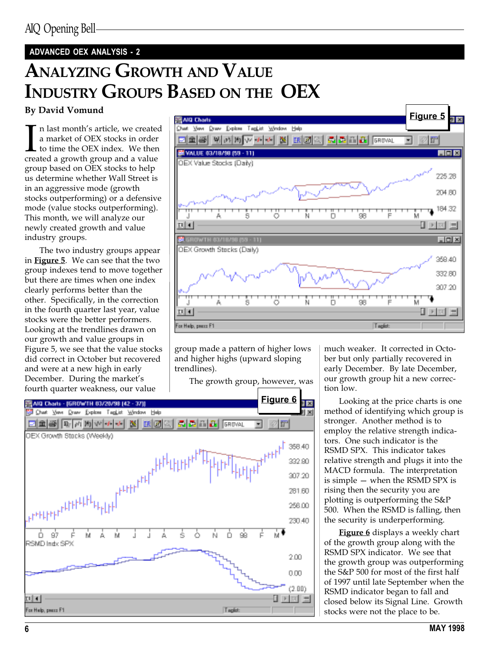## ADVANCED OEX ANALYSIS - 2

## ANALYZING GROWTH AND VALUE INDUSTRY GROUPS BASED ON THE OEX

#### By David Vomund

In last month's article, we create<br>a market of OEX stocks in order<br>to time the OEX index. We ther<br>created a growth group and a value n last month's article, we created a market of OEX stocks in order to time the OEX index. We then group based on OEX stocks to help us determine whether Wall Street is in an aggressive mode (growth stocks outperforming) or a defensive mode (value stocks outperforming). This month, we will analyze our newly created growth and value industry groups.

The two industry groups appear in Figure 5. We can see that the two group indexes tend to move together but there are times when one index clearly performs better than the other. Specifically, in the correction in the fourth quarter last year, value stocks were the better performers. Looking at the trendlines drawn on our growth and value groups in Figure 5, we see that the value stocks did correct in October but recovered and were at a new high in early December. During the market's fourth quarter weakness, our value



group made a pattern of higher lows and higher highs (upward sloping trendlines).

The growth group, however, was



much weaker. It corrected in October but only partially recovered in early December. By late December, our growth group hit a new correction low.

Looking at the price charts is one method of identifying which group is stronger. Another method is to employ the relative strength indicators. One such indicator is the RSMD SPX. This indicator takes relative strength and plugs it into the MACD formula. The interpretation is simple  $-$  when the RSMD SPX is rising then the security you are plotting is outperforming the S&P 500. When the RSMD is falling, then the security is underperforming.

**Figure 6** displays a weekly chart of the growth group along with the RSMD SPX indicator. We see that the growth group was outperforming the S&P 500 for most of the first half of 1997 until late September when the RSMD indicator began to fall and closed below its Signal Line. Growth stocks were not the place to be.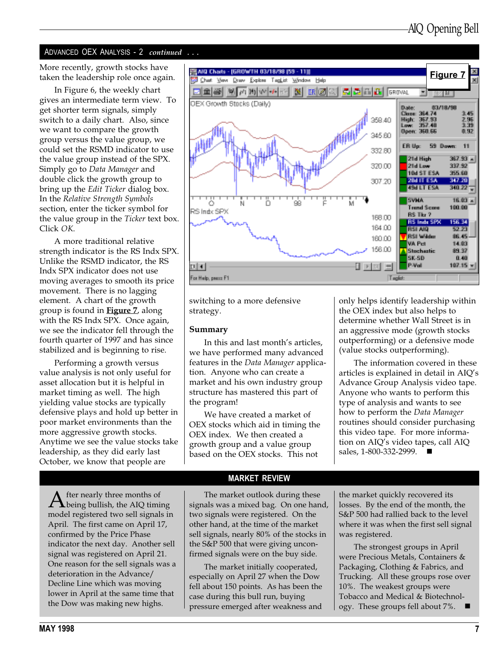### ADVANCED OEX ANALYSIS - 2 *continued* ...

taken the leadership role once again.

In Figure 6, the weekly chart gives an intermediate term view. To get shorter term signals, simply switch to a daily chart. Also, since we want to compare the growth group versus the value group, we could set the RSMD indicator to use the value group instead of the SPX. Simply go to Data Manager and double click the growth group to bring up the *Edit Ticker* dialog box. In the Relative Strength Symbols section, enter the ticker symbol for the value group in the Ticker text box. Click OK.

A more traditional relative strength indicator is the RS Indx SPX. Unlike the RSMD indicator, the RS Indx SPX indicator does not use moving averages to smooth its price movement. There is no lagging element. A chart of the growth group is found in Figure 7, along with the RS Indx SPX. Once again, we see the indicator fell through the fourth quarter of 1997 and has since stabilized and is beginning to rise.

Performing a growth versus value analysis is not only useful for asset allocation but it is helpful in market timing as well. The high yielding value stocks are typically defensive plays and hold up better in poor market environments than the more aggressive growth stocks. Anytime we see the value stocks take leadership, as they did early last October, we know that people are



switching to a more defensive strategy.

#### Summary

In this and last month's articles, we have performed many advanced features in the Data Manager application. Anyone who can create a market and his own industry group structure has mastered this part of the program!

We have created a market of OEX stocks which aid in timing the OEX index. We then created a growth group and a value group based on the OEX stocks. This not

only helps identify leadership within the OEX index but also helps to determine whether Wall Street is in an aggressive mode (growth stocks outperforming) or a defensive mode (value stocks outperforming).

The information covered in these articles is explained in detail in AIO's Advance Group Analysis video tape. Anyone who wants to perform this type of analysis and wants to see how to perform the Data Manager routines should consider purchasing this video tape. For more information on AIQ's video tapes, call AIQ sales, 1-800-332-2999. ■

 $\mathbf{A}$  fter nearly three months of<br>model moist and true all simulations model registered two sell signals in April. The first came on April 17, confirmed by the Price Phase indicator the next day. Another sell signal was registered on April 21. One reason for the sell signals was a deterioration in the Advance/ Decline Line which was moving lower in April at the same time that the Dow was making new highs.

#### MARKET REVIEW

The market outlook during these signals was a mixed bag. On one hand, two signals were registered. On the other hand, at the time of the market sell signals, nearly 80% of the stocks in the S&P 500 that were giving unconfirmed signals were on the buy side.

The market initially cooperated, especially on April 27 when the Dow fell about 150 points. As has been the case during this bull run, buying pressure emerged after weakness and the market quickly recovered its losses. By the end of the month, the S&P 500 had rallied back to the level where it was when the first sell signal was registered.

The strongest groups in April were Precious Metals, Containers & Packaging, Clothing & Fabrics, and Trucking. All these groups rose over 10%. The weakest groups were Tobacco and Medical & Biotechnology. These groups fell about 7%.